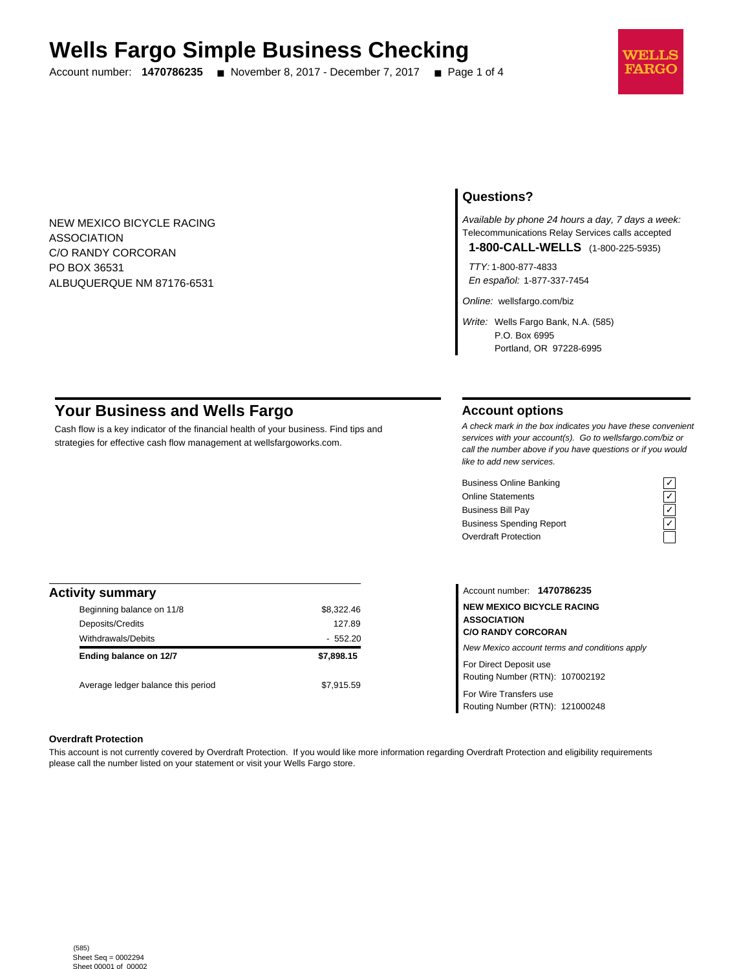# **Wells Fargo Simple Business Checking**

Account number: **1470786235** ■ November 8, 2017 - December 7, 2017 ■ Page 1 of 4



NEW MEXICO BICYCLE RACING ASSOCIATION C/O RANDY CORCORAN PO BOX 36531 ALBUQUERQUE NM 87176-6531

# **Questions?**

Available by phone 24 hours a day, 7 days a week: Telecommunications Relay Services calls accepted **1-800-CALL-WELLS** (1-800-225-5935)

TTY: 1-800-877-4833

En español: 1-877-337-7454

Online: wellsfargo.com/biz

Write: Wells Fargo Bank, N.A. (585) P.O. Box 6995 Portland, OR 97228-6995

# **Your Business and Wells Fargo**

Cash flow is a key indicator of the financial health of your business. Find tips and strategies for effective cash flow management at wellsfargoworks.com.

## **Account options**

A check mark in the box indicates you have these convenient services with your account(s). Go to wellsfargo.com/biz or call the number above if you have questions or if you would like to add new services.

Business Online Banking<br>
Online Statements<br>
Business Bill Pay<br>
Business Spending Report<br>  $\overline{C}$ <br>
Overdraft Protection Online Statements Business Bill Pay Business Spending Report Overdraft Protection



| <b>Activity summary</b>            |            |
|------------------------------------|------------|
| Beginning balance on 11/8          | \$8,322.46 |
| Deposits/Credits                   | 127.89     |
| <b>Withdrawals/Debits</b>          | $-552.20$  |
| Ending balance on 12/7             | \$7,898.15 |
| Average ledger balance this period | \$7.915.59 |

Account number: **1470786235 NEW MEXICO BICYCLE RACING ASSOCIATION C/O RANDY CORCORAN** New Mexico account terms and conditions apply For Direct Deposit use

Routing Number (RTN): 107002192

For Wire Transfers use Routing Number (RTN): 121000248

#### **Overdraft Protection**

This account is not currently covered by Overdraft Protection. If you would like more information regarding Overdraft Protection and eligibility requirements please call the number listed on your statement or visit your Wells Fargo store.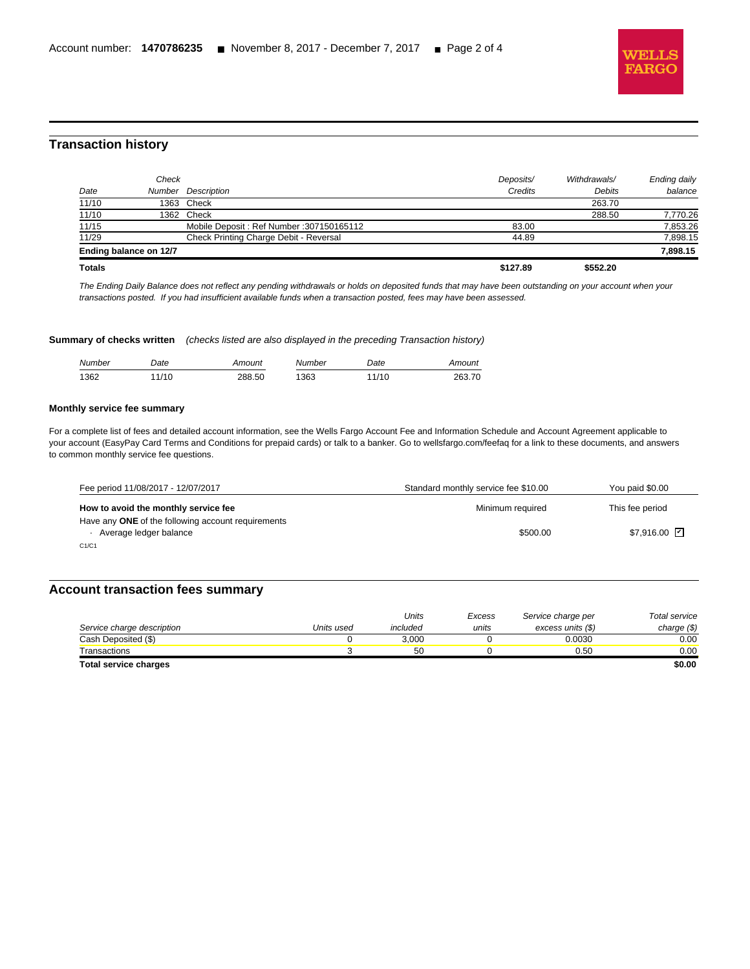

# **Transaction history**

l

| Date          | Check                  | Number Description                       | Deposits/<br>Credits | Withdrawals/<br><b>Debits</b> | Ending daily<br>balance |
|---------------|------------------------|------------------------------------------|----------------------|-------------------------------|-------------------------|
| 11/10         |                        | 1363 Check                               |                      | 263.70                        |                         |
| 11/10         |                        | 1362 Check                               |                      | 288.50                        | 7,770.26                |
| 11/15         |                        | Mobile Deposit: Ref Number: 307150165112 | 83.00                |                               | 7,853.26                |
| 11/29         |                        | Check Printing Charge Debit - Reversal   | 44.89                |                               | 7,898.15                |
|               | Ending balance on 12/7 |                                          |                      |                               | 7,898.15                |
| <b>Totals</b> |                        |                                          | \$127.89             | \$552.20                      |                         |

The Ending Daily Balance does not reflect any pending withdrawals or holds on deposited funds that may have been outstanding on your account when your transactions posted. If you had insufficient available funds when a transaction posted, fees may have been assessed.

#### **Summary of checks written** (checks listed are also displayed in the preceding Transaction history)

| Number | Date          | mount  | Number | Date | mount  |
|--------|---------------|--------|--------|------|--------|
| 1362   | . $11r$<br>19 | 288.50 | 363    | 1/10 | 263.70 |

#### **Monthly service fee summary**

For a complete list of fees and detailed account information, see the Wells Fargo Account Fee and Information Schedule and Account Agreement applicable to your account (EasyPay Card Terms and Conditions for prepaid cards) or talk to a banker. Go to wellsfargo.com/feefaq for a link to these documents, and answers to common monthly service fee questions.

| Fee period 11/08/2017 - 12/07/2017                                           | Standard monthly service fee \$10.00 | You paid \$0.00             |
|------------------------------------------------------------------------------|--------------------------------------|-----------------------------|
| How to avoid the monthly service fee                                         | Minimum required                     | This fee period             |
| Have any ONE of the following account requirements<br>Average ledger balance | \$500.00                             | $$7.916.00$ $\triangledown$ |
| C1/C1                                                                        |                                      |                             |

### **Account transaction fees summary**

|                              |            | Units    | Excess | Service charge per | Total service |
|------------------------------|------------|----------|--------|--------------------|---------------|
| Service charge description   | Units used | included | units  | excess units (\$)  | charge $(\$)$ |
| Cash Deposited (\$)          |            | 3.000    |        | 0.0030             | 0.00          |
| Transactions                 |            | 50       |        | 0.50               | 0.00          |
| <b>Total service charges</b> |            |          |        |                    | \$0.00        |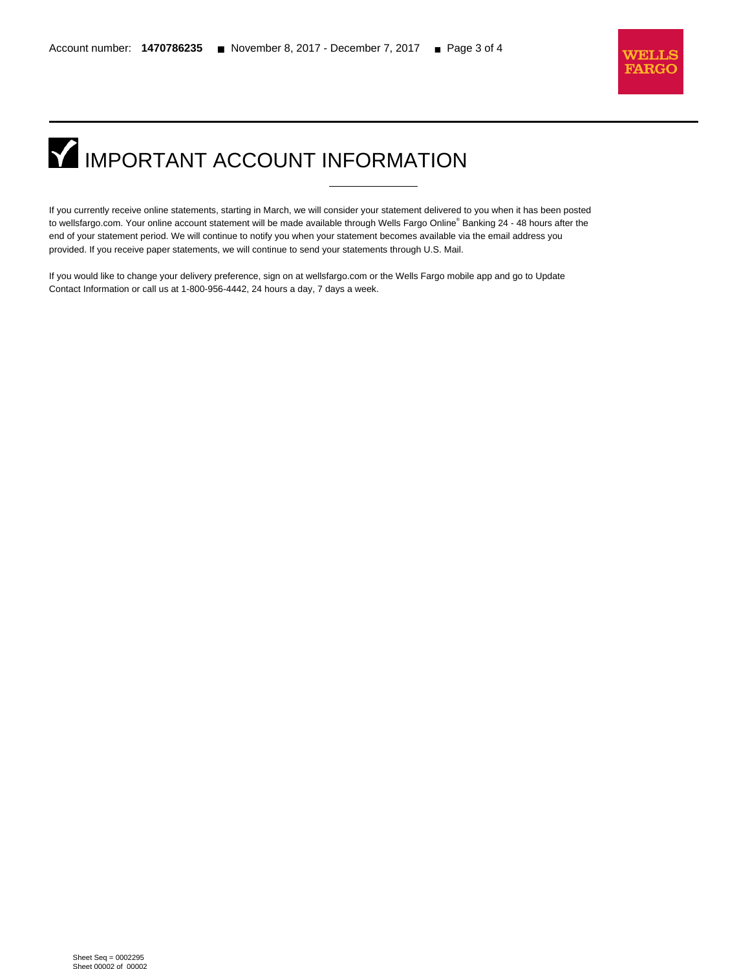

# **IMPORTANT ACCOUNT INFORMATION**

l

If you currently receive online statements, starting in March, we will consider your statement delivered to you when it has been posted to wellsfargo.com. Your online account statement will be made available through Wells Fargo Online® Banking 24 - 48 hours after the end of your statement period. We will continue to notify you when your statement becomes available via the email address you provided. If you receive paper statements, we will continue to send your statements through U.S. Mail.

If you would like to change your delivery preference, sign on at wellsfargo.com or the Wells Fargo mobile app and go to Update Contact Information or call us at 1-800-956-4442, 24 hours a day, 7 days a week.